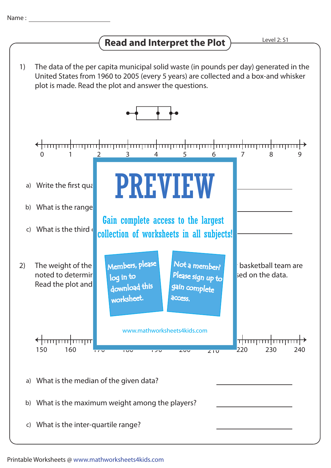